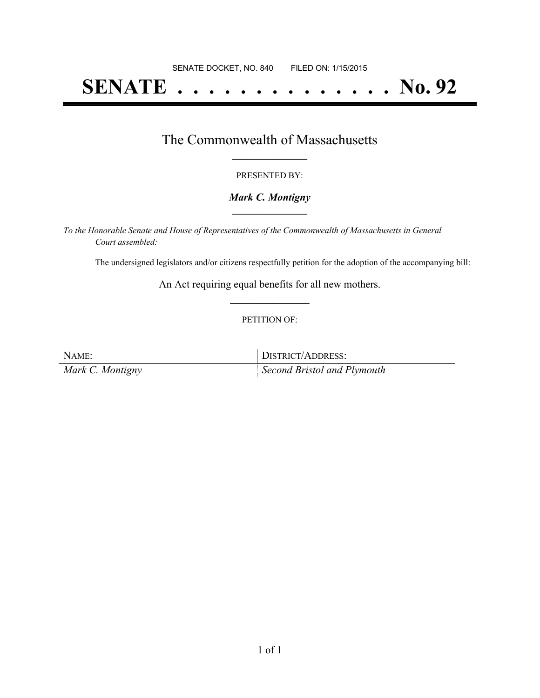# **SENATE . . . . . . . . . . . . . . No. 92**

### The Commonwealth of Massachusetts **\_\_\_\_\_\_\_\_\_\_\_\_\_\_\_\_\_**

#### PRESENTED BY:

#### *Mark C. Montigny* **\_\_\_\_\_\_\_\_\_\_\_\_\_\_\_\_\_**

*To the Honorable Senate and House of Representatives of the Commonwealth of Massachusetts in General Court assembled:*

The undersigned legislators and/or citizens respectfully petition for the adoption of the accompanying bill:

An Act requiring equal benefits for all new mothers. **\_\_\_\_\_\_\_\_\_\_\_\_\_\_\_**

#### PETITION OF:

NAME: IDISTRICT/ADDRESS: *Mark C. Montigny Second Bristol and Plymouth*